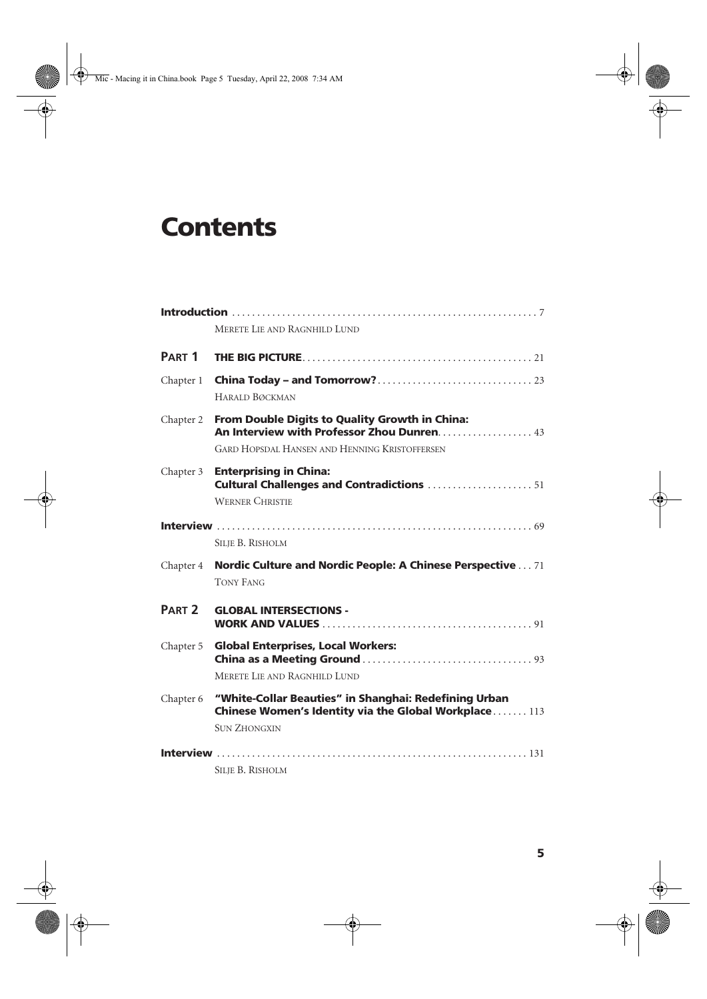## **Contents**

| MERETE LIE AND RAGNHILD LUND |                                                                                                                                                      |
|------------------------------|------------------------------------------------------------------------------------------------------------------------------------------------------|
| PART <sub>1</sub>            |                                                                                                                                                      |
| Chapter 1                    | <b>HARALD BØCKMAN</b>                                                                                                                                |
| Chapter 2                    | From Double Digits to Quality Growth in China:<br>An Interview with Professor Zhou Dunren 43<br><b>GARD HOPSDAL HANSEN AND HENNING KRISTOFFERSEN</b> |
| Chapter 3                    | <b>Enterprising in China:</b><br><b>Cultural Challenges and Contradictions 51</b><br><b>WERNER CHRISTIE</b>                                          |
|                              | <b>SILIE B. RISHOLM</b>                                                                                                                              |
| Chapter 4                    | <b>Nordic Culture and Nordic People: A Chinese Perspective  71</b><br><b>TONY FANG</b>                                                               |
| PART <sub>2</sub>            | <b>GLOBAL INTERSECTIONS -</b>                                                                                                                        |
| Chapter 5                    | <b>Global Enterprises, Local Workers:</b><br>MERETE LIE AND RAGNHILD LUND                                                                            |
| Chapter 6                    | "White-Collar Beauties" in Shanghai: Redefining Urban<br>Chinese Women's Identity via the Global Workplace 113<br><b>SUN ZHONGXIN</b>                |
|                              | <b>SILIE B. RISHOLM</b>                                                                                                                              |